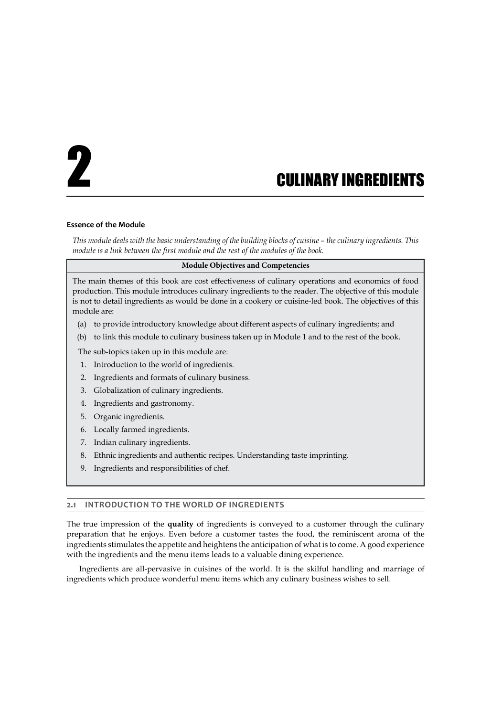# 2 CULINARY INGREDIENTS

#### **Essence of the Module**

*This module deals with the basic understanding of the building blocks of cuisine – the culinary ingredients. This module is a link between the first module and the rest of the modules of the book.* 

#### **Module Objectives and Competencies**

The main themes of this book are cost effectiveness of culinary operations and economics of food production. This module introduces culinary ingredients to the reader. The objective of this module is not to detail ingredients as would be done in a cookery or cuisine-led book. The objectives of this module are:

- (a) to provide introductory knowledge about different aspects of culinary ingredients; and
- (b) to link this module to culinary business taken up in Module 1 and to the rest of the book.

The sub-topics taken up in this module are:

- 1. Introduction to the world of ingredients.
- 2. Ingredients and formats of culinary business.
- 3. Globalization of culinary ingredients.
- 4. Ingredients and gastronomy.
- 5. Organic ingredients.
- 6. Locally farmed ingredients.
- 7. Indian culinary ingredients.
- 8. Ethnic ingredients and authentic recipes. Understanding taste imprinting.
- 9. Ingredients and responsibilities of chef.

# **2.1 INTRODUCTION TO THE WORLD OF INGREDIENTS**

The true impression of the **quality** of ingredients is conveyed to a customer through the culinary preparation that he enjoys. Even before a customer tastes the food, the reminiscent aroma of the ingredients stimulates the appetite and heightens the anticipation of what is to come. A good experience with the ingredients and the menu items leads to a valuable dining experience.

Ingredients are all-pervasive in cuisines of the world. It is the skilful handling and marriage of ingredients which produce wonderful menu items which any culinary business wishes to sell.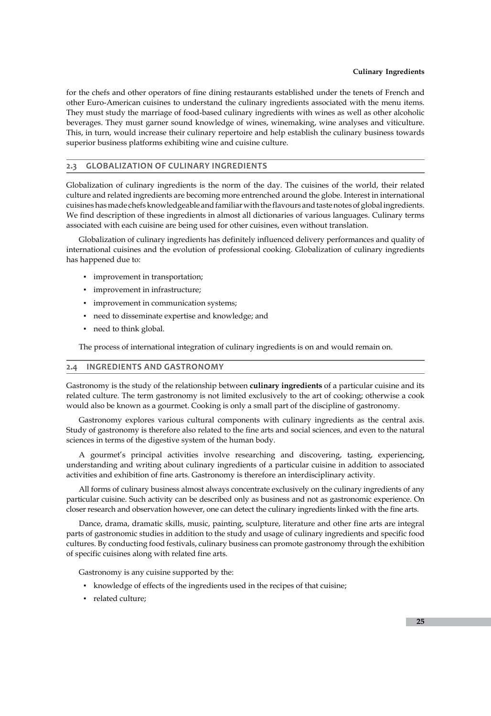#### **Culinary Ingredients**

for the chefs and other operators of fine dining restaurants established under the tenets of French and other Euro-American cuisines to understand the culinary ingredients associated with the menu items. They must study the marriage of food-based culinary ingredients with wines as well as other alcoholic beverages. They must garner sound knowledge of wines, winemaking, wine analyses and viticulture. This, in turn, would increase their culinary repertoire and help establish the culinary business towards superior business platforms exhibiting wine and cuisine culture.

## **2.3 GLOBALIZATION OF CULINARY INGREDIENTS**

Globalization of culinary ingredients is the norm of the day. The cuisines of the world, their related culture and related ingredients are becoming more entrenched around the globe. Interest in international cuisines has made chefs knowledgeable and familiar with the flavours and taste notes of global ingredients. We find description of these ingredients in almost all dictionaries of various languages. Culinary terms associated with each cuisine are being used for other cuisines, even without translation.

Globalization of culinary ingredients has definitely influenced delivery performances and quality of international cuisines and the evolution of professional cooking. Globalization of culinary ingredients has happened due to:

- **·** improvement in transportation;
- **•** improvement in infrastructure;
- **·** improvement in communication systems;
- need to disseminate expertise and knowledge; and
- need to think global.

The process of international integration of culinary ingredients is on and would remain on.

#### **2.4 INGREDIENTS AND GASTRONOMY**

Gastronomy is the study of the relationship between **culinary ingredients** of a particular cuisine and its related culture. The term gastronomy is not limited exclusively to the art of cooking; otherwise a cook would also be known as a gourmet. Cooking is only a small part of the discipline of gastronomy.

Gastronomy explores various cultural components with culinary ingredients as the central axis. Study of gastronomy is therefore also related to the fine arts and social sciences, and even to the natural sciences in terms of the digestive system of the human body.

A gourmet's principal activities involve researching and discovering, tasting, experiencing, understanding and writing about culinary ingredients of a particular cuisine in addition to associated activities and exhibition of fine arts. Gastronomy is therefore an interdisciplinary activity.

All forms of culinary business almost always concentrate exclusively on the culinary ingredients of any particular cuisine. Such activity can be described only as business and not as gastronomic experience. On closer research and observation however, one can detect the culinary ingredients linked with the fine arts.

Dance, drama, dramatic skills, music, painting, sculpture, literature and other fine arts are integral parts of gastronomic studies in addition to the study and usage of culinary ingredients and specific food cultures. By conducting food festivals, culinary business can promote gastronomy through the exhibition of specific cuisines along with related fine arts.

Gastronomy is any cuisine supported by the:

- **•** knowledge of effects of the ingredients used in the recipes of that cuisine;
- **•** related culture;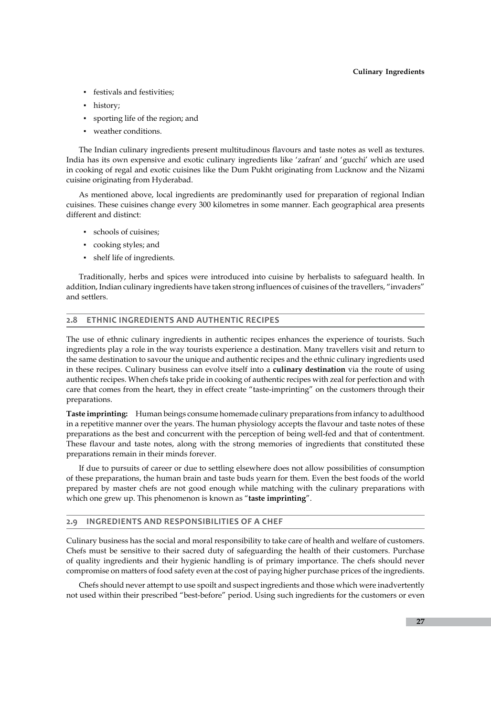#### **Culinary Ingredients**

- **•** festivals and festivities;
- history;
- sporting life of the region; and
- weather conditions.

The Indian culinary ingredients present multitudinous flavours and taste notes as well as textures. India has its own expensive and exotic culinary ingredients like 'zafran' and 'gucchi' which are used in cooking of regal and exotic cuisines like the Dum Pukht originating from Lucknow and the Nizami cuisine originating from Hyderabad.

As mentioned above, local ingredients are predominantly used for preparation of regional Indian cuisines. These cuisines change every 300 kilometres in some manner. Each geographical area presents different and distinct:

- ▪ schools of cuisines;
- cooking styles; and
- shelf life of ingredients.

Traditionally, herbs and spices were introduced into cuisine by herbalists to safeguard health. In addition, Indian culinary ingredients have taken strong influences of cuisines of the travellers, "invaders" and settlers.

## **2.8 ETHNIC INGREDIENTS AND AUTHENTIC RECIPES**

The use of ethnic culinary ingredients in authentic recipes enhances the experience of tourists. Such ingredients play a role in the way tourists experience a destination. Many travellers visit and return to the same destination to savour the unique and authentic recipes and the ethnic culinary ingredients used in these recipes. Culinary business can evolve itself into a **culinary destination** via the route of using authentic recipes. When chefs take pride in cooking of authentic recipes with zeal for perfection and with care that comes from the heart, they in effect create "taste-imprinting" on the customers through their preparations.

**Taste imprinting:** Human beings consume homemade culinary preparations from infancy to adulthood in a repetitive manner over the years. The human physiology accepts the flavour and taste notes of these preparations as the best and concurrent with the perception of being well-fed and that of contentment. These flavour and taste notes, along with the strong memories of ingredients that constituted these preparations remain in their minds forever.

If due to pursuits of career or due to settling elsewhere does not allow possibilities of consumption of these preparations, the human brain and taste buds yearn for them. Even the best foods of the world prepared by master chefs are not good enough while matching with the culinary preparations with which one grew up. This phenomenon is known as "**taste imprinting**".

# **2.9 INGREDIENTS AND RESPONSIBILITIES OF A CHEF**

Culinary business has the social and moral responsibility to take care of health and welfare of customers. Chefs must be sensitive to their sacred duty of safeguarding the health of their customers. Purchase of quality ingredients and their hygienic handling is of primary importance. The chefs should never compromise on matters of food safety even at the cost of paying higher purchase prices of the ingredients.

Chefs should never attempt to use spoilt and suspect ingredients and those which were inadvertently not used within their prescribed "best-before" period. Using such ingredients for the customers or even